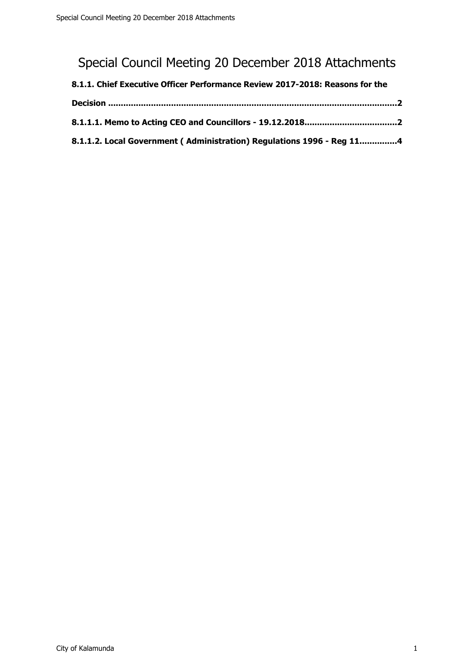# Special Council Meeting 20 December 2018 Attachments

| 8.1.1. Chief Executive Officer Performance Review 2017-2018: Reasons for the |  |
|------------------------------------------------------------------------------|--|
|                                                                              |  |
|                                                                              |  |
| 8.1.1.2. Local Government (Administration) Regulations 1996 - Reg 114        |  |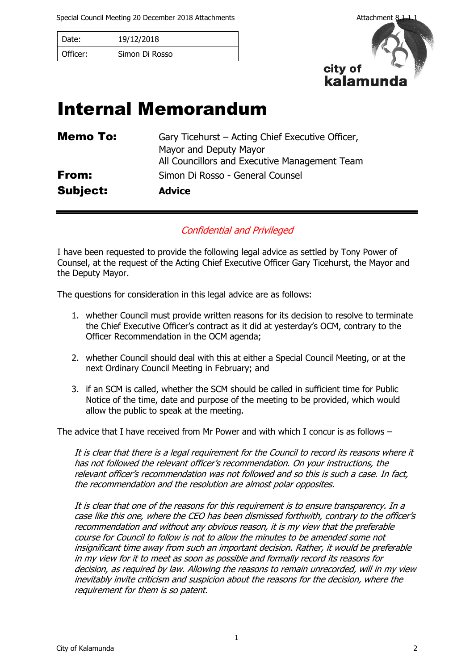<span id="page-1-0"></span>Special Council Meeting 20 December 2018 Attachments Attachment 8.1.1.1

| Date:    | 19/12/2018     |
|----------|----------------|
| Officer: | Simon Di Rosso |



# Internal Memorandum

| Memo To: | Gary Ticehurst – Acting Chief Executive Officer, |
|----------|--------------------------------------------------|
|          | Mayor and Deputy Mayor                           |
|          | All Councillors and Executive Management Team    |
| From:    | Simon Di Rosso - General Counsel                 |
| Subject: | <b>Advice</b>                                    |

## Confidential and Privileged

I have been requested to provide the following legal advice as settled by Tony Power of Counsel, at the request of the Acting Chief Executive Officer Gary Ticehurst, the Mayor and the Deputy Mayor.

The questions for consideration in this legal advice are as follows:

- 1. whether Council must provide written reasons for its decision to resolve to terminate the Chief Executive Officer's contract as it did at yesterday's OCM, contrary to the Officer Recommendation in the OCM agenda;
- 2. whether Council should deal with this at either a Special Council Meeting, or at the next Ordinary Council Meeting in February; and
- 3. if an SCM is called, whether the SCM should be called in sufficient time for Public Notice of the time, date and purpose of the meeting to be provided, which would allow the public to speak at the meeting.

The advice that I have received from Mr Power and with which I concur is as follows  $-$ 

It is clear that there is a legal requirement for the Council to record its reasons where it has not followed the relevant officer's recommendation. On your instructions, the relevant officer's recommendation was not followed and so this is such a case. In fact, the recommendation and the resolution are almost polar opposites.

It is clear that one of the reasons for this requirement is to ensure transparency. In a case like this one, where the CEO has been dismissed forthwith, contrary to the officer's recommendation and without any obvious reason, it is my view that the preferable course for Council to follow is not to allow the minutes to be amended some not insignificant time away from such an important decision. Rather, it would be preferable in my view for it to meet as soon as possible and formally record its reasons for decision, as required by law. Allowing the reasons to remain unrecorded, will in my view inevitably invite criticism and suspicion about the reasons for the decision, where the requirement for them is so patent.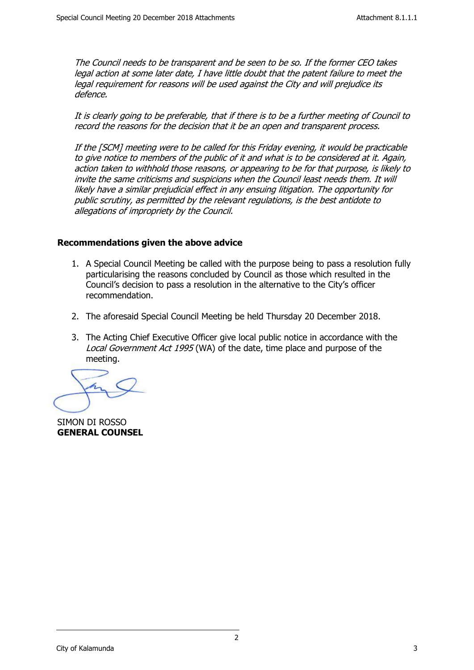The Council needs to be transparent and be seen to be so. If the former CEO takes legal action at some later date, I have little doubt that the patent failure to meet the legal requirement for reasons will be used against the City and will prejudice its defence.

It is clearly going to be preferable, that if there is to be a further meeting of Council to record the reasons for the decision that it be an open and transparent process.

If the [SCM] meeting were to be called for this Friday evening, it would be practicable to give notice to members of the public of it and what is to be considered at it. Again, action taken to withhold those reasons, or appearing to be for that purpose, is likely to invite the same criticisms and suspicions when the Council least needs them. It will likely have a similar prejudicial effect in any ensuing litigation. The opportunity for public scrutiny, as permitted by the relevant regulations, is the best antidote to allegations of impropriety by the Council.

## **Recommendations given the above advice**

- 1. A Special Council Meeting be called with the purpose being to pass a resolution fully particularising the reasons concluded by Council as those which resulted in the Council's decision to pass a resolution in the alternative to the City's officer recommendation.
- 2. The aforesaid Special Council Meeting be held Thursday 20 December 2018.
- 3. The Acting Chief Executive Officer give local public notice in accordance with the Local Government Act 1995 (WA) of the date, time place and purpose of the meeting.

SIMON DI ROSSO **GENERAL COUNSEL**